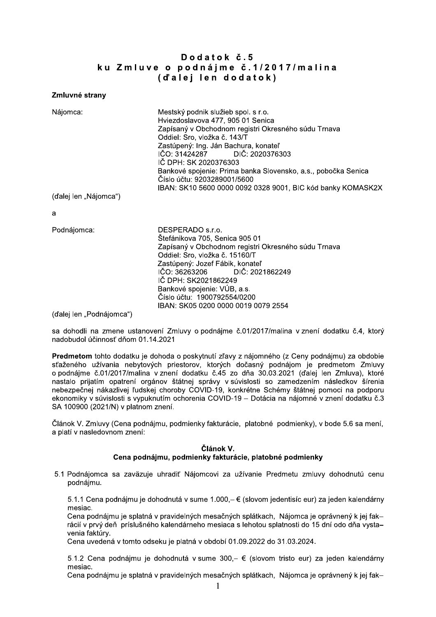## Dodatok č.5 ku Zmluve o podnájme č.1/2017/malina (d'alei len dodatok)

## Zmluvné strany

| Nájomca:              | Mestský podnik služieb spol. s r.o.                           |
|-----------------------|---------------------------------------------------------------|
|                       | Hviezdoslavova 477, 905 01 Senica                             |
|                       | Zapísaný v Obchodnom registri Okresného súdu Trnava           |
|                       | Oddiel: Sro, vložka č. 143/T                                  |
|                       | Zastúpený: Ing. Ján Bachura, konateľ                          |
|                       | IČO: 31424287 DIČ: 2020376303                                 |
|                       | IČ DPH: SK 2020376303                                         |
|                       | Bankové spojenie: Prima banka Slovensko, a.s., pobočka Senica |
|                       | Číslo účtu: 9203289001/5600                                   |
|                       | IBAN: SK10 5600 0000 0092 0328 9001, BIC kód banky KOMASK2X   |
| (ďalej len "Nájomca") |                                                               |

a

Podnájomca:

DESPERADO s.r.o. Štefánikova 705. Senica 905 01 Zapísaný v Obchodnom registri Okresného súdu Trnava Oddiel: Sro. vložka č. 15160/T Zastúpený: Jozef Fábik, konateľ IČO: 36263206 DIČ: 2021862249 IČ DPH: SK2021862249 Bankové spojenie: VÚB, a.s. Číslo účtu: 1900792554/0200 IBAN: SK05 0200 0000 0019 0079 2554

(ďalej len "Podnájomca")

sa dohodli na zmene ustanovení Zmluvy o podnájme č.01/2017/malina v znení dodatku č.4, ktorý nadobudol účinnosť dňom 01.14.2021

Predmetom tohto dodatku je dohoda o poskytnutí zľavy z nájomného (z Ceny podnájmu) za obdobie sťaženého užívania nebytových priestorov, ktorých dočasný podnájom je predmetom Zmluvy o podnájme č.01/2017/malina v znení dodatku č.45 zo dňa 30.03.2021 (ďalej len Zmluva), ktoré nastalo prijatím opatrení orgánov štátnej správy v súvislosti so zamedzením následkov šírenia nebezpečnej nákazlivej ľudskej choroby COVID-19, konkrétne Schémy štátnej pomoci na podporu ekonomiky v súvislosti s vypuknutím ochorenia COVID-19 - Dotácia na nájomné v znení dodatku č.3 SA 100900 (2021/N) v platnom znení.

Článok V. Zmluvy (Cena podnájmu, podmienky fakturácie, platobné podmienky), v bode 5.6 sa mení, a platí v nasledovnom znení:

## Článok V.

## Cena podnájmu, podmienky fakturácie, platobné podmienky

5.1 Podnájomca sa zaväzuje uhradiť Nájomcovi za užívanie Predmetu zmluvy dohodnutú cenu podnájmu.

5.1.1 Cena podnájmu je dohodnutá v sume 1.000,– € (slovom jedentisíc eur) za jeden kalendárny mesiac.

Cena podnájmu je splatná v pravidelných mesačných splátkach. Nájomca je oprávnený k jej fakrácií v prvý deň príslušného kalendárneho mesiaca s lehotou splatnosti do 15 dní odo dňa vystavenia faktúrv.

Cena uvedená v tomto odseku je platná v období 01.09.2022 do 31.03.2024.

5.1.2 Cena podnájmu je dohodnutá v sume 300,- € (slovom tristo eur) za jeden kalendárny mesiac.

Cena podnájmu je splatná v pravidelných mesačných splátkach, Nájomca je oprávnený k jej fak-